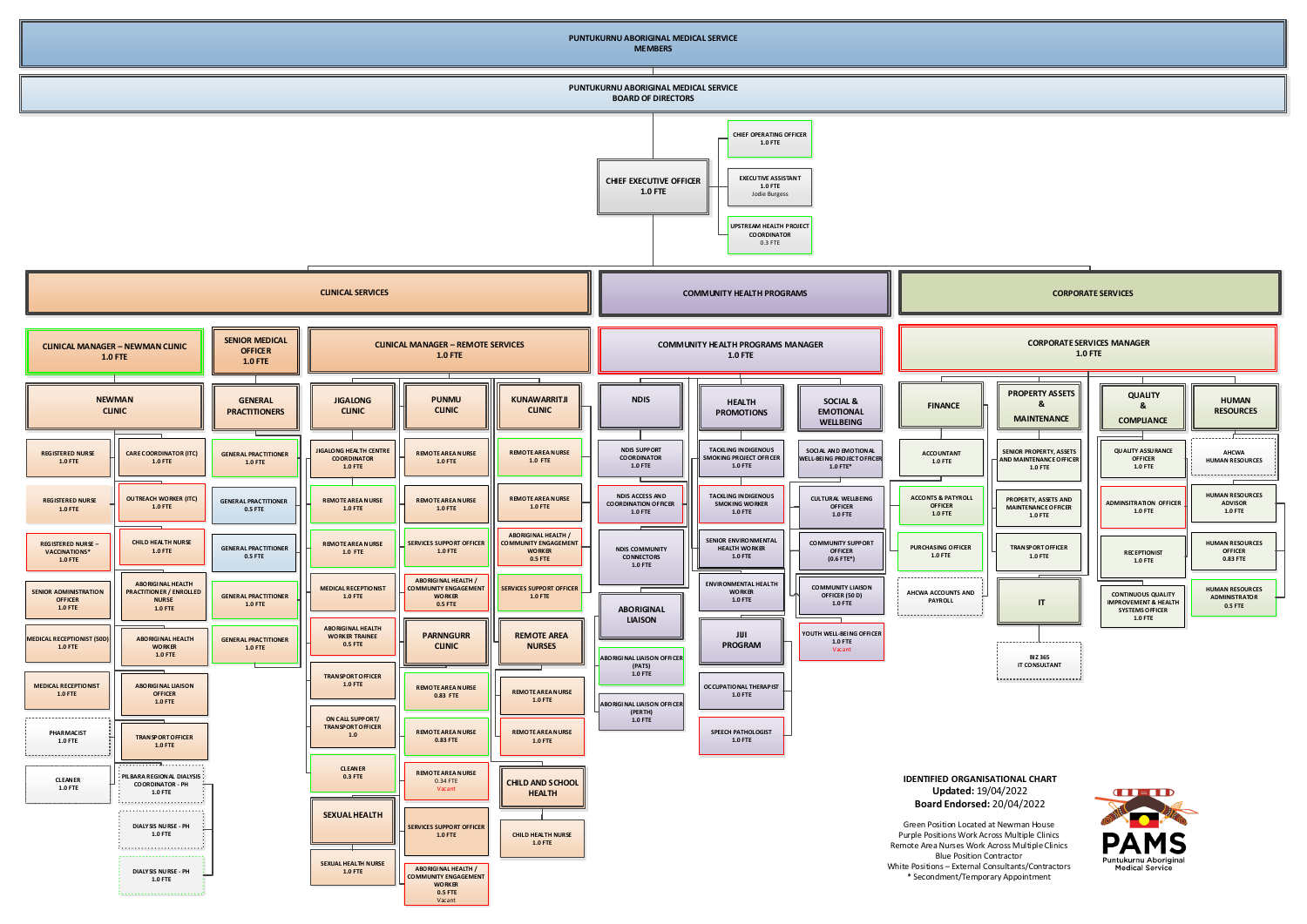